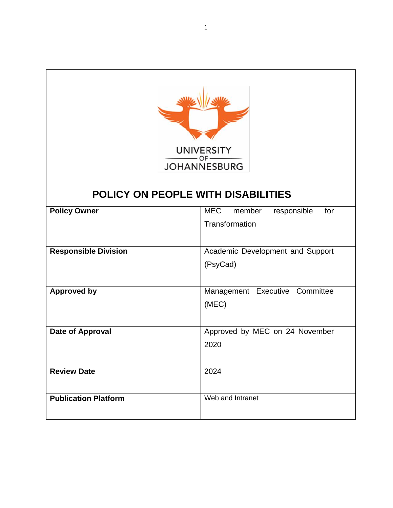

# **POLICY ON PEOPLE WITH DISABILITIES**

| <b>Policy Owner</b>         | <b>MEC</b><br>member<br>for<br>responsible<br>Transformation |
|-----------------------------|--------------------------------------------------------------|
| <b>Responsible Division</b> | Academic Development and Support<br>(PsyCad)                 |
| <b>Approved by</b>          | Management Executive Committee<br>(MEC)                      |
| Date of Approval            | Approved by MEC on 24 November<br>2020                       |
| <b>Review Date</b>          | 2024                                                         |
| <b>Publication Platform</b> | Web and Intranet                                             |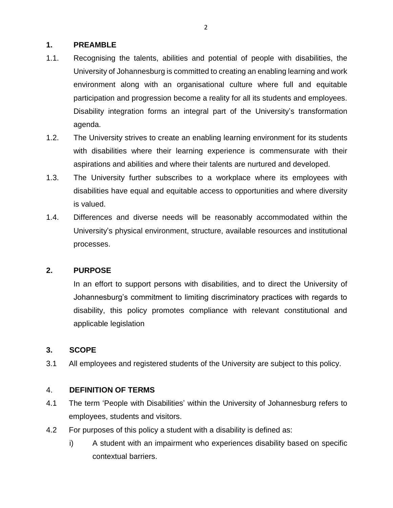### **1. PREAMBLE**

- 1.1. Recognising the talents, abilities and potential of people with disabilities, the University of Johannesburg is committed to creating an enabling learning and work environment along with an organisational culture where full and equitable participation and progression become a reality for all its students and employees. Disability integration forms an integral part of the University's transformation agenda.
- 1.2. The University strives to create an enabling learning environment for its students with disabilities where their learning experience is commensurate with their aspirations and abilities and where their talents are nurtured and developed.
- 1.3. The University further subscribes to a workplace where its employees with disabilities have equal and equitable access to opportunities and where diversity is valued.
- 1.4. Differences and diverse needs will be reasonably accommodated within the University's physical environment, structure, available resources and institutional processes.

## **2. PURPOSE**

In an effort to support persons with disabilities, and to direct the University of Johannesburg's commitment to limiting discriminatory practices with regards to disability, this policy promotes compliance with relevant constitutional and applicable legislation

## **3. SCOPE**

3.1 All employees and registered students of the University are subject to this policy.

#### 4. **DEFINITION OF TERMS**

- 4.1 The term 'People with Disabilities' within the University of Johannesburg refers to employees, students and visitors.
- 4.2 For purposes of this policy a student with a disability is defined as:
	- i) A student with an impairment who experiences disability based on specific contextual barriers.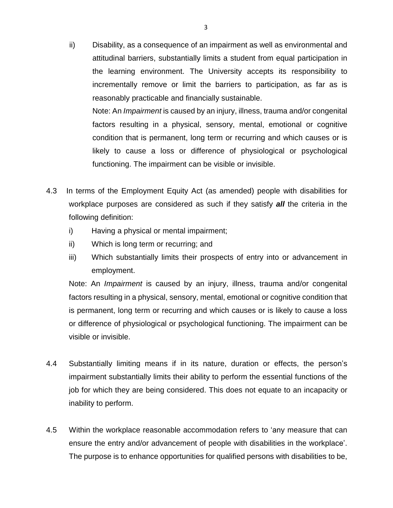ii) Disability, as a consequence of an impairment as well as environmental and attitudinal barriers, substantially limits a student from equal participation in the learning environment. The University accepts its responsibility to incrementally remove or limit the barriers to participation, as far as is reasonably practicable and financially sustainable.

Note: An *Impairment* is caused by an injury, illness, trauma and/or congenital factors resulting in a physical, sensory, mental, emotional or cognitive condition that is permanent, long term or recurring and which causes or is likely to cause a loss or difference of physiological or psychological functioning. The impairment can be visible or invisible.

- 4.3 In terms of the Employment Equity Act (as amended) people with disabilities for workplace purposes are considered as such if they satisfy *all* the criteria in the following definition:
	- i) Having a physical or mental impairment;
	- ii) Which is long term or recurring; and
	- iii) Which substantially limits their prospects of entry into or advancement in employment.

Note: An *Impairment* is caused by an injury, illness, trauma and/or congenital factors resulting in a physical, sensory, mental, emotional or cognitive condition that is permanent, long term or recurring and which causes or is likely to cause a loss or difference of physiological or psychological functioning. The impairment can be visible or invisible.

- 4.4 Substantially limiting means if in its nature, duration or effects, the person's impairment substantially limits their ability to perform the essential functions of the job for which they are being considered. This does not equate to an incapacity or inability to perform.
- 4.5 Within the workplace reasonable accommodation refers to 'any measure that can ensure the entry and/or advancement of people with disabilities in the workplace'. The purpose is to enhance opportunities for qualified persons with disabilities to be,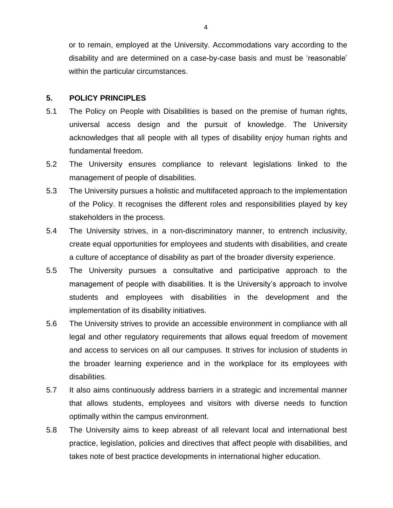or to remain, employed at the University. Accommodations vary according to the disability and are determined on a case-by-case basis and must be 'reasonable' within the particular circumstances.

#### **5. POLICY PRINCIPLES**

- 5.1 The Policy on People with Disabilities is based on the premise of human rights, universal access design and the pursuit of knowledge. The University acknowledges that all people with all types of disability enjoy human rights and fundamental freedom.
- 5.2 The University ensures compliance to relevant legislations linked to the management of people of disabilities.
- 5.3 The University pursues a holistic and multifaceted approach to the implementation of the Policy. It recognises the different roles and responsibilities played by key stakeholders in the process.
- 5.4 The University strives, in a non-discriminatory manner, to entrench inclusivity, create equal opportunities for employees and students with disabilities, and create a culture of acceptance of disability as part of the broader diversity experience.
- 5.5 The University pursues a consultative and participative approach to the management of people with disabilities. It is the University's approach to involve students and employees with disabilities in the development and the implementation of its disability initiatives.
- 5.6 The University strives to provide an accessible environment in compliance with all legal and other regulatory requirements that allows equal freedom of movement and access to services on all our campuses. It strives for inclusion of students in the broader learning experience and in the workplace for its employees with disabilities.
- 5.7 It also aims continuously address barriers in a strategic and incremental manner that allows students, employees and visitors with diverse needs to function optimally within the campus environment.
- 5.8 The University aims to keep abreast of all relevant local and international best practice, legislation, policies and directives that affect people with disabilities, and takes note of best practice developments in international higher education.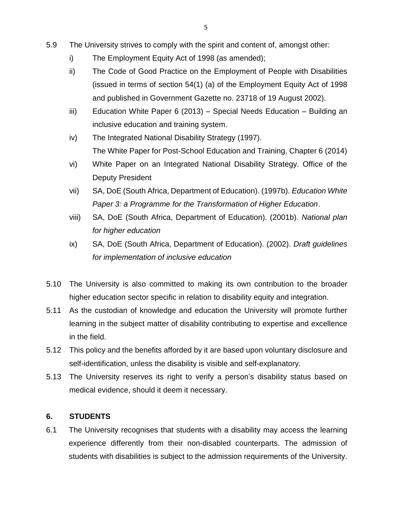- 5.9 The University strives to comply with the spirit and content of, amongst other:
	- i) The Employment Equity Act of 1998 (as amended);
	- ii) The Code of Good Practice on the Employment of People with Disabilities (issued in terms of section 54(1) (a) of the Employment Equity Act of 1998 and published in Government Gazette no. 23718 of 19 August 2002).
	- iii) Education White Paper 6 (2013) Special Needs Education Building an inclusive education and training system.
	- iv) The Integrated National Disability Strategy (1997). The White Paper for Post-School Education and Training, Chapter 6 (2014)
	- vi) White Paper on an Integrated National Disability Strategy. Office of the Deputy President
	- vii) SA, DoE (South Africa, Department of Education). (1997b). *Education White Paper 3: a Programme for the Transformation of Higher Education*.
	- viii) SA, DoE (South Africa, Department of Education). (2001b). *National plan for higher education*
	- ix) SA, DoE (South Africa, Department of Education). (2002). *Draft guidelines for implementation of inclusive education*
- 5.10 The University is also committed to making its own contribution to the broader higher education sector specific in relation to disability equity and integration.
- 5.11 As the custodian of knowledge and education the University will promote further learning in the subject matter of disability contributing to expertise and excellence in the field.
- 5.12 This policy and the benefits afforded by it are based upon voluntary disclosure and self-identification, unless the disability is visible and self-explanatory.
- 5.13 The University reserves its right to verify a person's disability status based on medical evidence, should it deem it necessary.

## **6. STUDENTS**

6.1 The University recognises that students with a disability may access the learning experience differently from their non-disabled counterparts. The admission of students with disabilities is subject to the admission requirements of the University.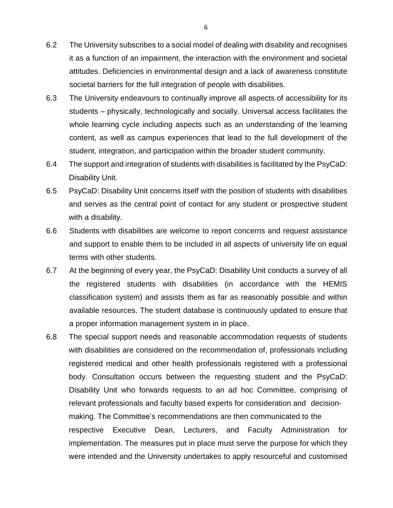- 6.2 The University subscribes to a social model of dealing with disability and recognises it as a function of an impairment, the interaction with the environment and societal attitudes. Deficiencies in environmental design and a lack of awareness constitute societal barriers for the full integration of people with disabilities.
- 6.3 The University endeavours to continually improve all aspects of accessibility for its students – physically, technologically and socially. Universal access facilitates the whole learning cycle including aspects such as an understanding of the learning content, as well as campus experiences that lead to the full development of the student, integration, and participation within the broader student community.
- 6.4 The support and integration of students with disabilities is facilitated by the PsyCaD: Disability Unit.
- 6.5 PsyCaD: Disability Unit concerns itself with the position of students with disabilities and serves as the central point of contact for any student or prospective student with a disability.
- 6.6 Students with disabilities are welcome to report concerns and request assistance and support to enable them to be included in all aspects of university life on equal terms with other students.
- 6.7 At the beginning of every year, the PsyCaD: Disability Unit conducts a survey of all the registered students with disabilities (in accordance with the HEMIS classification system) and assists them as far as reasonably possible and within available resources. The student database is continuously updated to ensure that a proper information management system in in place.
- 6.8 The special support needs and reasonable accommodation requests of students with disabilities are considered on the recommendation of, professionals including registered medical and other health professionals registered with a professional body. Consultation occurs between the requesting student and the PsyCaD: Disability Unit who forwards requests to an ad hoc Committee, comprising of relevant professionals and faculty based experts for consideration and decisionmaking. The Committee's recommendations are then communicated to the respective Executive Dean, Lecturers, and Faculty Administration for implementation. The measures put in place must serve the purpose for which they were intended and the University undertakes to apply resourceful and customised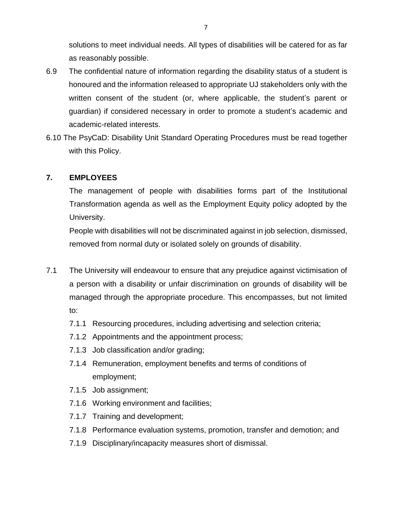solutions to meet individual needs. All types of disabilities will be catered for as far as reasonably possible.

- 6.9 The confidential nature of information regarding the disability status of a student is honoured and the information released to appropriate UJ stakeholders only with the written consent of the student (or, where applicable, the student's parent or guardian) if considered necessary in order to promote a student's academic and academic-related interests.
- 6.10 The PsyCaD: Disability Unit Standard Operating Procedures must be read together with this Policy.

#### **7. EMPLOYEES**

The management of people with disabilities forms part of the Institutional Transformation agenda as well as the Employment Equity policy adopted by the University.

People with disabilities will not be discriminated against in job selection, dismissed, removed from normal duty or isolated solely on grounds of disability.

- 7.1 The University will endeavour to ensure that any prejudice against victimisation of a person with a disability or unfair discrimination on grounds of disability will be managed through the appropriate procedure. This encompasses, but not limited to:
	- 7.1.1 Resourcing procedures, including advertising and selection criteria;
	- 7.1.2 Appointments and the appointment process;
	- 7.1.3 Job classification and/or grading;
	- 7.1.4 Remuneration, employment benefits and terms of conditions of employment;
	- 7.1.5 Job assignment;
	- 7.1.6 Working environment and facilities;
	- 7.1.7 Training and development;
	- 7.1.8 Performance evaluation systems, promotion, transfer and demotion; and
	- 7.1.9 Disciplinary/incapacity measures short of dismissal.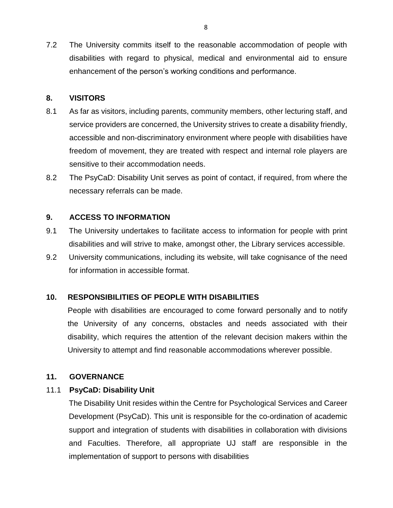7.2 The University commits itself to the reasonable accommodation of people with disabilities with regard to physical, medical and environmental aid to ensure enhancement of the person's working conditions and performance.

#### **8. VISITORS**

- 8.1 As far as visitors, including parents, community members, other lecturing staff, and service providers are concerned, the University strives to create a disability friendly, accessible and non-discriminatory environment where people with disabilities have freedom of movement, they are treated with respect and internal role players are sensitive to their accommodation needs.
- 8.2 The PsyCaD: Disability Unit serves as point of contact, if required, from where the necessary referrals can be made.

#### **9. ACCESS TO INFORMATION**

- 9.1 The University undertakes to facilitate access to information for people with print disabilities and will strive to make, amongst other, the Library services accessible.
- 9.2 University communications, including its website, will take cognisance of the need for information in accessible format.

#### **10. RESPONSIBILITIES OF PEOPLE WITH DISABILITIES**

People with disabilities are encouraged to come forward personally and to notify the University of any concerns, obstacles and needs associated with their disability, which requires the attention of the relevant decision makers within the University to attempt and find reasonable accommodations wherever possible.

#### **11. GOVERNANCE**

#### 11.1 **PsyCaD: Disability Unit**

The Disability Unit resides within the Centre for Psychological Services and Career Development (PsyCaD). This unit is responsible for the co-ordination of academic support and integration of students with disabilities in collaboration with divisions and Faculties. Therefore, all appropriate UJ staff are responsible in the implementation of support to persons with disabilities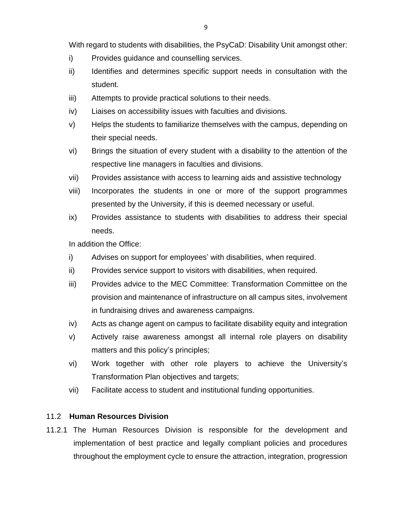With regard to students with disabilities, the PsyCaD: Disability Unit amongst other:

- i) Provides guidance and counselling services.
- ii) Identifies and determines specific support needs in consultation with the student.
- iii) Attempts to provide practical solutions to their needs.
- iv) Liaises on accessibility issues with faculties and divisions.
- v) Helps the students to familiarize themselves with the campus, depending on their special needs.
- vi) Brings the situation of every student with a disability to the attention of the respective line managers in faculties and divisions.
- vii) Provides assistance with access to learning aids and assistive technology
- viii) Incorporates the students in one or more of the support programmes presented by the University, if this is deemed necessary or useful.
- ix) Provides assistance to students with disabilities to address their special needs.

In addition the Office:

- i) Advises on support for employees' with disabilities, when required.
- ii) Provides service support to visitors with disabilities, when required.
- iii) Provides advice to the MEC Committee: Transformation Committee on the provision and maintenance of infrastructure on all campus sites, involvement in fundraising drives and awareness campaigns.
- iv) Acts as change agent on campus to facilitate disability equity and integration
- v) Actively raise awareness amongst all internal role players on disability matters and this policy's principles;
- vi) Work together with other role players to achieve the University's Transformation Plan objectives and targets;
- vii) Facilitate access to student and institutional funding opportunities.

#### 11.2 **Human Resources Division**

11.2.1 The Human Resources Division is responsible for the development and implementation of best practice and legally compliant policies and procedures throughout the employment cycle to ensure the attraction, integration, progression